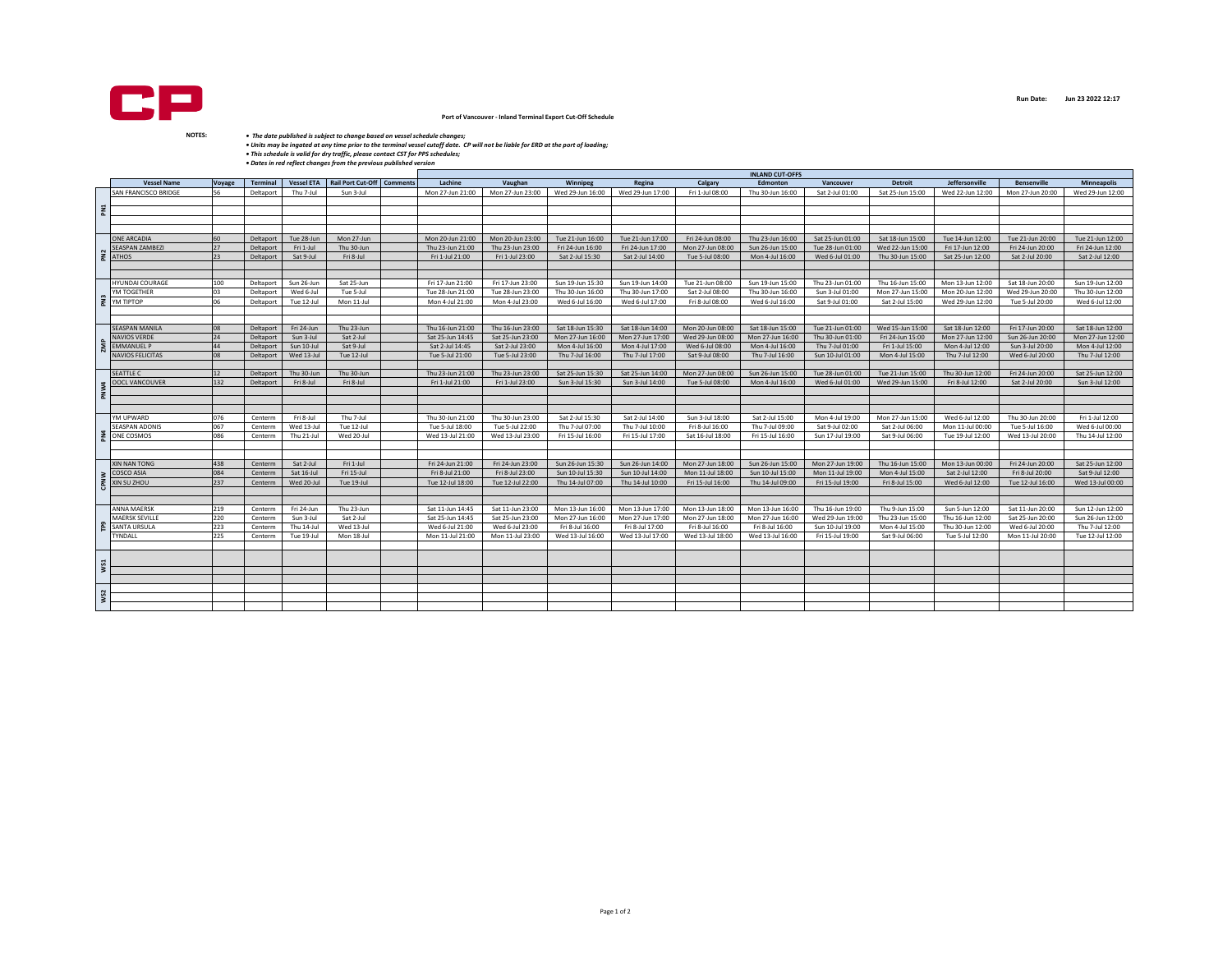

## **Port of Vancouver - Inland Terminal Export Cut-Off Schedule**

• The date published is subject to change based on vessel schedule changes;<br>• Units may be ingated at any time prior to the terminal vessel cutoff date. CP will not be liable for ERD at the port of loading;<br>• This schedule

|     |                                      |               |                 |                   | <b>INLAND CUT-OFFS</b>     |  |                                      |                                      |                  |                                      |                                      |                                      |                                      |                                     |                  |                    |                    |
|-----|--------------------------------------|---------------|-----------------|-------------------|----------------------------|--|--------------------------------------|--------------------------------------|------------------|--------------------------------------|--------------------------------------|--------------------------------------|--------------------------------------|-------------------------------------|------------------|--------------------|--------------------|
|     | <b>Vessel Name</b>                   | <b>Voyage</b> | <b>Terminal</b> | <b>Vessel ETA</b> | Rail Port Cut-Off Comments |  | Lachine                              | Vaughan                              | Winnipeg         | Regina                               | Calgary                              | Edmonton                             | Vancouver                            | <b>Detroit</b>                      | Jeffersonville   | <b>Bensenville</b> | <b>Minneapolis</b> |
| EN  | SAN FRANCISCO BRIDGE                 | 56            | Deltaport       | Thu 7-Jul         | Sun 3-Jul                  |  | Mon 27-Jun 21:00                     | Mon 27-Jun 23:00                     | Wed 29-Jun 16:00 | Wed 29-Jun 17:00                     | Fri 1-Jul 08:00                      | Thu 30-Jun 16:00                     | Sat 2-Jul 01:00                      | Sat 25-Jun 15:00                    | Wed 22-Jun 12:00 | Mon 27-Jun 20:00   | Wed 29-Jun 12:00   |
|     |                                      |               |                 |                   |                            |  |                                      |                                      |                  |                                      |                                      |                                      |                                      |                                     |                  |                    |                    |
|     |                                      |               |                 |                   |                            |  |                                      |                                      |                  |                                      |                                      |                                      |                                      |                                     |                  |                    |                    |
|     |                                      |               |                 |                   |                            |  |                                      |                                      |                  |                                      |                                      |                                      |                                      |                                     |                  |                    |                    |
|     |                                      |               |                 |                   |                            |  |                                      |                                      |                  |                                      |                                      |                                      |                                      |                                     |                  |                    |                    |
|     |                                      |               |                 |                   |                            |  |                                      |                                      |                  |                                      |                                      |                                      |                                      |                                     |                  |                    |                    |
|     | <b>ONE ARCADIA</b>                   | 60            | Deltaport       | Tue 28-Jun        | Mon 27-Jun                 |  | Mon 20-Jun 21:00                     | Mon 20-Jun 23:00                     | Tue 21-Jun 16:00 | Tue 21-Jun 17:00                     | Fri 24-Jun 08:00                     | Thu 23-Jun 16:00                     | Sat 25-Jun 01:00                     | Sat 18-Jun 15:00                    | Tue 14-Jun 12:00 | Tue 21-Jun 20:00   | Tue 21-Jun 12:00   |
|     | SEASPAN ZAMBEZI                      | 27            | Deltaport       | Fri 1-Jul         | Thu 30-Jun                 |  | Thu 23-Jun 21:00                     | Thu 23-Jun 23:00                     | Fri 24-Jun 16:00 | Fri 24-Jun 17:00                     | Mon 27-Jun 08:00                     | Sun 26-Jun 15:00                     | Tue 28-Jun 01:00                     | Wed 22-Jun 15:00                    | Fri 17-Jun 12:00 | Fri 24-Jun 20:00   | Fri 24-Jun 12:00   |
|     | $\frac{2}{2}$ ATHOS                  | 23            | Deltaport       | Sat 9-Jul         | Fri 8-Jul                  |  | Fri 1-Jul 21:00                      | Fri 1-Jul 23:00                      | Sat 2-Jul 15:30  | Sat 2-Jul 14:00                      | Tue 5-Jul 08:00                      | Mon 4-Jul 16:00                      | Wed 6-Jul 01:00                      | Thu 30-Jun 15:00                    | Sat 25-Jun 12:00 | Sat 2-Jul 20:00    | Sat 2-Jul 12:00    |
|     |                                      |               |                 |                   |                            |  |                                      |                                      |                  |                                      |                                      |                                      |                                      |                                     |                  |                    |                    |
|     |                                      |               |                 |                   |                            |  |                                      |                                      |                  |                                      |                                      |                                      |                                      |                                     |                  |                    |                    |
|     | <b>HYUNDAI COURAGE</b>               | 100           | Deltaport       | Sun 26-Jun        | Sat 25-Jun                 |  | Fri 17-Jun 21:00                     | Fri 17-Jun 23:00                     | Sun 19-Jun 15:30 | Sun 19-Jun 14:00                     | Tue 21-Jun 08:00                     | Sun 19-Jun 15:00                     | Thu 23-Jun 01:00                     | Thu 16-Jun 15:00                    | Mon 13-Jun 12:00 | Sat 18-Jun 20:00   | Sun 19-Jun 12:00   |
|     | YM TOGETHER                          | 03            | Deltaport       | Wed 6-Jul         | Tue 5-Jul                  |  | Tue 28-Jun 21:00                     | Tue 28-Jun 23:00                     | Thu 30-Jun 16:00 | Thu 30-Jun 17:00                     | Sat 2-Jul 08:00                      | Thu 30-Jun 16:00                     | Sun 3-Jul 01:00                      | Mon 27-Jun 15:00                    | Mon 20-Jun 12:00 | Wed 29-Jun 20:00   | Thu 30-Jun 12:00   |
|     | YM TIPTOP                            | 06            | Deltaport       | Tue 12-Jul        | Mon 11-Jul                 |  | Mon 4-Jul 21:00                      | Mon 4-Jul 23:00                      | Wed 6-Jul 16:00  | Wed 6-Jul 17:00                      | Fri 8-Jul 08:00                      | Wed 6-Jul 16:00                      | Sat 9-Jul 01:00                      | Sat 2-Jul 15:00                     | Wed 29-Jun 12:00 | Tue 5-Jul 20:00    | Wed 6-Jul 12:00    |
|     |                                      |               |                 |                   |                            |  |                                      |                                      |                  |                                      |                                      |                                      |                                      |                                     |                  |                    |                    |
|     |                                      |               |                 |                   |                            |  |                                      |                                      |                  |                                      |                                      |                                      |                                      |                                     |                  |                    |                    |
|     | <b>SEASPAN MANILA</b>                | 08            | Deltaport       | Fri 24-Jun        | Thu 23-Jun                 |  | Thu 16-Jun 21:00                     | Thu 16-Jun 23:00                     | Sat 18-Jun 15:30 | Sat 18-Jun 14:00                     | Mon 20-Jun 08:00                     | Sat 18-Jun 15:00                     | Tue 21-Jun 01:00                     | Wed 15-Jun 15:00                    | Sat 18-Jun 12:00 | Fri 17-Jun 20:00   | Sat 18-Jun 12:00   |
|     | NAVIOS VERDE                         | 24            | Deltaport       | Sun 3-Jul         | Sat 2-Jul                  |  | Sat 25-Jun 14:45                     | Sat 25-Jun 23:00                     | Mon 27-Jun 16:00 | Mon 27-Jun 17:00                     | Wed 29-Jun 08:00                     | Mon 27-Jun 16:00                     | Thu 30-Jun 01:00                     | Fri 24-Jun 15:00                    | Mon 27-Jun 12:00 | Sun 26-Jun 20:00   | Mon 27-Jun 12:00   |
|     | <b>EMMANUEL P</b>                    | 44            | Deltaport       | Sun 10-Jul        | Sat 9-Jul                  |  | Sat 2-Jul 14:45                      | Sat 2-Jul 23:00                      | Mon 4-Jul 16:00  | Mon 4-Jul 17:00                      | Wed 6-Jul 08:00                      | Mon 4-Jul 16:00                      | Thu 7-Jul 01:00                      | Fri 1-Jul 15:00                     | Mon 4-Jul 12:00  | Sun 3-Jul 20:00    | Mon 4-Jul 12:00    |
|     | <b>NAVIOS FELICITAS</b>              | 08            | Deltaport       | Wed 13-Jul        | Tue 12-Jul                 |  | Tue 5-Jul 21:00                      | Tue 5-Jul 23:00                      | Thu 7-Jul 16:00  | Thu 7-Jul 17:00                      | Sat 9-Jul 08:00                      | Thu 7-Jul 16:00                      | Sun 10-Jul 01:00                     | Mon 4-Jul 15:00                     | Thu 7-Jul 12:00  | Wed 6-Jul 20:00    | Thu 7-Jul 12:00    |
|     |                                      |               |                 |                   |                            |  |                                      |                                      |                  |                                      |                                      |                                      |                                      |                                     |                  |                    |                    |
|     | <b>SEATTLE C</b>                     | 12            | Deltaport       | Thu 30-Jun        | Thu 30-Jun                 |  | Thu 23-Jun 21:00                     | Thu 23-Jun 23:00                     | Sat 25-Jun 15:30 | Sat 25-Jun 14:00                     | Mon 27-Jun 08:00                     | Sun 26-Jun 15:00                     | Tue 28-Jun 01:00                     | Tue 21-Jun 15:00                    | Thu 30-Jun 12:00 | Fri 24-Jun 20:00   | Sat 25-Jun 12:00   |
|     | OOCL VANCOUVER                       | 132           | Deltaport       | Fri 8-Jul         | Fri 8-Jul                  |  | Fri 1-Jul 21:00                      | Fri 1-Jul 23:00                      | Sun 3-Jul 15:30  | Sun 3-Jul 14:00                      | Tue 5-Jul 08:00                      | Mon 4-Jul 16:00                      | Wed 6-Jul 01:00                      | Wed 29-Jun 15:00                    | Fri 8-Jul 12:00  | Sat 2-Jul 20:00    | Sun 3-Jul 12:00    |
|     |                                      |               |                 |                   |                            |  |                                      |                                      |                  |                                      |                                      |                                      |                                      |                                     |                  |                    |                    |
|     |                                      |               |                 |                   |                            |  |                                      |                                      |                  |                                      |                                      |                                      |                                      |                                     |                  |                    |                    |
|     |                                      |               |                 |                   |                            |  |                                      |                                      |                  |                                      |                                      |                                      |                                      |                                     |                  |                    |                    |
|     | YM UPWARD                            | 076           | Centerm         | Fri 8-Jul         | Thu 7-Jul                  |  | Thu 30-Jun 21:00                     | Thu 30-Jun 23:00                     | Sat 2-Jul 15:30  | Sat 2-Jul 14:00                      | Sun 3-Jul 18:00                      | Sat 2-Jul 15:00                      | Mon 4-Jul 19:00                      | Mon 27-Jun 15:00                    | Wed 6-Jul 12:00  | Thu 30-Jun 20:00   | Fri 1-Jul 12:00    |
|     | <b>SEASPAN ADONIS</b>                | 067           | Centerm         | Wed 13-Jul        | Tue 12-Jul                 |  | Tue 5-Jul 18:00                      | Tue 5-Jul 22:00                      | Thu 7-Jul 07:00  | Thu 7-Jul 10:00                      | Fri 8-Jul 16:00                      | Thu 7-Jul 09:00                      | Sat 9-Jul 02:00                      | Sat 2-Jul 06:00                     | Mon 11-Jul 00:00 | Tue 5-Jul 16:00    | Wed 6-Jul 00:00    |
|     | ONE COSMOS                           | 086           | Centerm         | Thu 21-Jul        | Wed 20-Jul                 |  | Wed 13-Jul 21:00                     | Wed 13-Jul 23:00                     | Fri 15-Jul 16:00 | Fri 15-Jul 17:00                     | Sat 16-Jul 18:00                     | Fri 15-Jul 16:00                     | Sun 17-Jul 19:00                     | Sat 9-Jul 06:00                     | Tue 19-Jul 12:00 | Wed 13-Jul 20:00   | Thu 14-Jul 12:00   |
|     |                                      |               |                 |                   |                            |  |                                      |                                      |                  |                                      |                                      |                                      |                                      |                                     |                  |                    |                    |
|     |                                      |               |                 |                   |                            |  |                                      |                                      |                  |                                      |                                      |                                      |                                      |                                     |                  |                    |                    |
|     | XIN NAN TONG                         | 438           | Centerm         | Sat 2-Jul         | Fri 1-Jul                  |  | Fri 24-Jun 21:00                     | Fri 24-Jun 23:00                     | Sun 26-Jun 15:30 | Sun 26-Jun 14:00                     | Mon 27-Jun 18:00                     | Sun 26-Jun 15:00                     | Mon 27-Jun 19:00                     | Thu 16-Jun 15:00                    | Mon 13-Jun 00:00 | Fri 24-Jun 20:00   | Sat 25-Jun 12:00   |
|     | COSCO ASIA                           | 084           | Centerm         | Sat 16-Jul        | Fri 15-Jul                 |  | Fri 8-Jul 21:00                      | Fri 8-Jul 23:00                      | Sun 10-Jul 15:30 | Sun 10-Jul 14:00                     | Mon 11-Jul 18:00                     | Sun 10-Jul 15:00                     | Mon 11-Jul 19:00                     | Mon 4-Jul 15:00                     | Sat 2-Jul 12:00  | Fri 8-Jul 20:00    | Sat 9-Jul 12:00    |
|     | <b>XIN SU ZHOU</b>                   | 237           |                 | Wed 20-Jul        | Tue 19-Jul                 |  | Tue 12-Jul 18:00                     | Tue 12-Jul 22:00                     | Thu 14-Jul 07:00 | Thu 14-Jul 10:00                     | Fri 15-Jul 16:00                     | Thu 14-Jul 09:00                     | Fri 15-Jul 19:00                     | Fri 8-Jul 15:00                     | Wed 6-Jul 12:00  | Tue 12-Jul 16:00   | Wed 13-Jul 00:00   |
|     |                                      |               | Centerm         |                   |                            |  |                                      |                                      |                  |                                      |                                      |                                      |                                      |                                     |                  |                    |                    |
|     |                                      |               |                 |                   |                            |  |                                      |                                      |                  |                                      |                                      |                                      |                                      |                                     |                  |                    |                    |
|     |                                      |               |                 | Fri 24-Jun        |                            |  |                                      |                                      |                  |                                      |                                      |                                      |                                      |                                     |                  |                    | Sun 12-Jun 12:00   |
|     | <b>ANNA MAERSK</b><br>MAERSK SEVILLE | 219<br>220    | Centerm         | Sun 3-Jul         | Thu 23-Jun<br>Sat 2-Jul    |  | Sat 11-Jun 14:45<br>Sat 25-Jun 14:45 | Sat 11-Jun 23:00<br>Sat 25-Jun 23:00 | Mon 13-Jun 16:00 | Mon 13-Jun 17:00<br>Mon 27-Jun 17:00 | Mon 13-Jun 18:00<br>Mon 27-Jun 18:00 | Mon 13-Jun 16:00<br>Mon 27-Jun 16:00 | Thu 16-Jun 19:00<br>Wed 29-Jun 19:00 | Thu 9-Jun 15:00<br>Thu 23-Jun 15:00 | Sun 5-Jun 12:00  | Sat 11-Jun 20:00   | Sun 26-Jun 12:00   |
|     |                                      |               | Centerm         |                   |                            |  |                                      |                                      | Mon 27-Jun 16:00 |                                      |                                      |                                      |                                      |                                     | Thu 16-Jun 12:00 | Sat 25-Jun 20:00   |                    |
|     | SANTA URSULA                         | 223           | Centerm         | Thu 14-Jul        | Wed 13-Jul                 |  | Wed 6-Jul 21:00                      | Wed 6-Jul 23:00                      | Fri 8-Jul 16:00  | Fri 8-Jul 17:00                      | Fri 8-Jul 16:00                      | Fri 8-Jul 16:00                      | Sun 10-Jul 19:00                     | Mon 4-Jul 15:00                     | Thu 30-Jun 12:00 | Wed 6-Jul 20:00    | Thu 7-Jul 12:00    |
|     | TYNDALL                              | 225           | Centerm         | Tue 19-Jul        | Mon 18-Jul                 |  | Mon 11-Jul 21:00                     | Mon 11-Jul 23:00                     | Wed 13-Jul 16:00 | Wed 13-Jul 17:00                     | Wed 13-Jul 18:00                     | Wed 13-Jul 16:00                     | Fri 15-Jul 19:00                     | Sat 9-Jul 06:00                     | Tue 5-Jul 12:00  | Mon 11-Jul 20:00   | Tue 12-Jul 12:00   |
|     |                                      |               |                 |                   |                            |  |                                      |                                      |                  |                                      |                                      |                                      |                                      |                                     |                  |                    |                    |
|     |                                      |               |                 |                   |                            |  |                                      |                                      |                  |                                      |                                      |                                      |                                      |                                     |                  |                    |                    |
|     |                                      |               |                 |                   |                            |  |                                      |                                      |                  |                                      |                                      |                                      |                                      |                                     |                  |                    |                    |
|     |                                      |               |                 |                   |                            |  |                                      |                                      |                  |                                      |                                      |                                      |                                      |                                     |                  |                    |                    |
|     |                                      |               |                 |                   |                            |  |                                      |                                      |                  |                                      |                                      |                                      |                                      |                                     |                  |                    |                    |
| WS2 |                                      |               |                 |                   |                            |  |                                      |                                      |                  |                                      |                                      |                                      |                                      |                                     |                  |                    |                    |
|     |                                      |               |                 |                   |                            |  |                                      |                                      |                  |                                      |                                      |                                      |                                      |                                     |                  |                    |                    |
|     |                                      |               |                 |                   |                            |  |                                      |                                      |                  |                                      |                                      |                                      |                                      |                                     |                  |                    |                    |

**Run Date: Jun 23 2022 12:17**